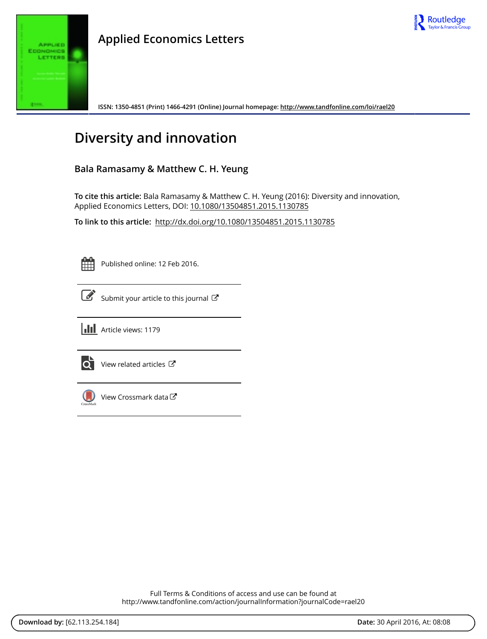

**Applied Economics Letters**

**ISSN: 1350-4851 (Print) 1466-4291 (Online) Journal homepage:<http://www.tandfonline.com/loi/rael20>**

# **Diversity and innovation**

## **Bala Ramasamy & Matthew C. H. Yeung**

**To cite this article:** Bala Ramasamy & Matthew C. H. Yeung (2016): Diversity and innovation, Applied Economics Letters, DOI: [10.1080/13504851.2015.1130785](http://www.tandfonline.com/action/showCitFormats?doi=10.1080/13504851.2015.1130785)

**To link to this article:** <http://dx.doi.org/10.1080/13504851.2015.1130785>

Published online: 12 Feb 2016.



 $\overrightarrow{S}$  [Submit your article to this journal](http://www.tandfonline.com/action/authorSubmission?journalCode=rael20&page=instructions)  $\overrightarrow{S}$ 



**III** Article views: 1179



 $\overrightarrow{Q}$  [View related articles](http://www.tandfonline.com/doi/mlt/10.1080/13504851.2015.1130785)  $\overrightarrow{C}$ 



[View Crossmark data](http://crossmark.crossref.org/dialog/?doi=10.1080/13504851.2015.1130785&domain=pdf&date_stamp=2016-02-12) $G$ 

Full Terms & Conditions of access and use can be found at <http://www.tandfonline.com/action/journalInformation?journalCode=rael20>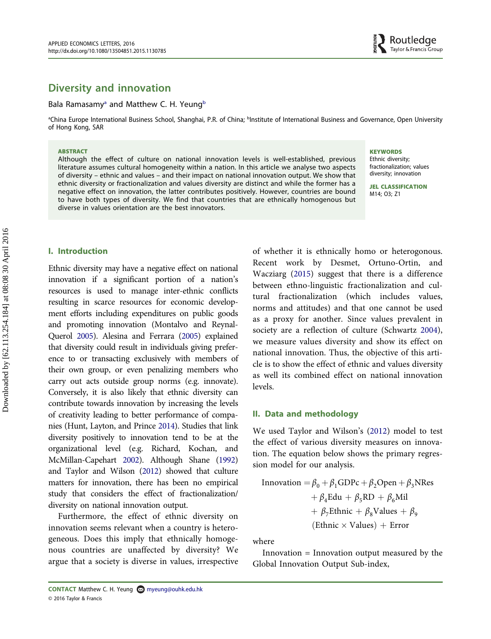# Diversity and innovation

#### Bala Ramasamy<sup>a</sup> and Matthew C. H. Yeung<sup>[b](#page-1-0)</sup>

<span id="page-1-0"></span>aChina Europe International Business School, Shanghai, P.R. of China; bInstitute of International Business and Governance, Open University بالكامح of Hong Kong, SAR

#### **ABSTRACT**

Although the effect of culture on national innovation levels is well-established, previous literature assumes cultural homogeneity within a nation. In this article we analyse two aspects of diversity – ethnic and values – and their impact on national innovation output. We show that ethnic diversity or fractionalization and values diversity are distinct and while the former has a negative effect on innovation, the latter contributes positively. However, countries are bound to have both types of diversity. We find that countries that are ethnically homogenous but diverse in values orientation are the best innovators.

#### **KEYWORDS**

Ethnic diversity; fractionalization; values diversity; innovation

JEL CLASSIFICATION M14; O3; Z1

#### I. Introduction

<span id="page-1-1"></span>Ethnic diversity may have a negative effect on national innovation if a significant portion of a nation's resources is used to manage inter-ethnic conflicts resulting in scarce resources for economic development efforts including expenditures on public goods and promoting innovation (Montalvo and Reynal-Querol [2005\)](#page-4-0). Alesina and Ferrara [\(2005\)](#page-4-1) explained that diversity could result in individuals giving preference to or transacting exclusively with members of their own group, or even penalizing members who carry out acts outside group norms (e.g. innovate). Conversely, it is also likely that ethnic diversity can contribute towards innovation by increasing the levels of creativity leading to better performance of companies (Hunt, Layton, and Prince [2014\)](#page-4-2). Studies that link diversity positively to innovation tend to be at the organizational level (e.g. Richard, Kochan, and McMillan-Capehart [2002\)](#page-5-0). Although Shane ([1992\)](#page-5-1) and Taylor and Wilson [\(2012\)](#page-5-2) showed that culture matters for innovation, there has been no empirical study that considers the effect of fractionalization/ diversity on national innovation output.

<span id="page-1-4"></span><span id="page-1-3"></span>Furthermore, the effect of ethnic diversity on innovation seems relevant when a country is heterogeneous. Does this imply that ethnically homogenous countries are unaffected by diversity? We argue that a society is diverse in values, irrespective <span id="page-1-5"></span><span id="page-1-2"></span>of whether it is ethnically homo or heterogonous. Recent work by Desmet, Ortuno-Ortin, and Wacziarg ([2015\)](#page-4-3) suggest that there is a difference between ethno-linguistic fractionalization and cultural fractionalization (which includes values, norms and attitudes) and that one cannot be used as a proxy for another. Since values prevalent in society are a reflection of culture (Schwartz [2004](#page-5-3)), we measure values diversity and show its effect on national innovation. Thus, the objective of this article is to show the effect of ethnic and values diversity as well its combined effect on national innovation levels.

#### II. Data and methodology

<span id="page-1-6"></span>We used Taylor and Wilson's [\(2012](#page-5-2)) model to test the effect of various diversity measures on innovation. The equation below shows the primary regression model for our analysis.

Innovation = 
$$
\beta_0 + \beta_1 \text{GDPc} + \beta_2 \text{Open} + \beta_3 \text{NRes}
$$

\n
$$
+ \beta_4 \text{Edu} + \beta_5 \text{RD} + \beta_6 \text{Mil}
$$
\n
$$
+ \beta_7 \text{Ethnic} + \beta_8 \text{Values} + \beta_9
$$
\n(Ethnic × Values) + Error

where

Innovation = Innovation output measured by the Global Innovation Output Sub-index,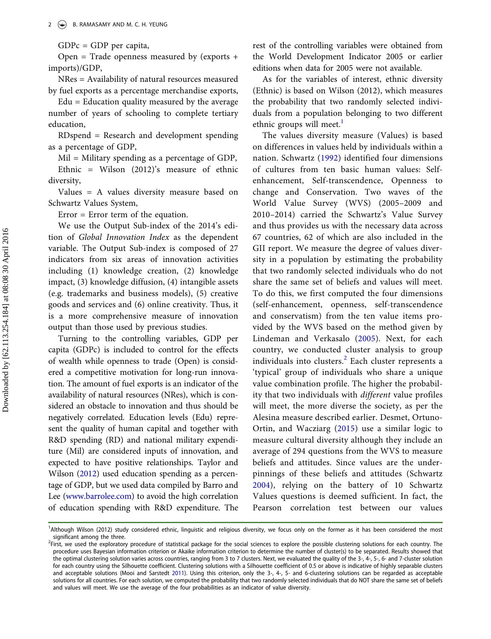$GDPc = GDP$  per capita,

Open = Trade openness measured by (exports + imports)/GDP,

NRes = Availability of natural resources measured by fuel exports as a percentage merchandise exports,

 $Edu = Education$  quality measured by the average number of years of schooling to complete tertiary education,

RDspend = Research and development spending as a percentage of GDP,

Mil = Military spending as a percentage of GDP, Ethnic = Wilson (2012)'s measure of ethnic

diversity, Values = A values diversity measure based on Schwartz Values System,

Error = Error term of the equation.

We use the Output Sub-index of the 2014's edition of Global Innovation Index as the dependent variable. The Output Sub-index is composed of 27 indicators from six areas of innovation activities including (1) knowledge creation, (2) knowledge impact, (3) knowledge diffusion, (4) intangible assets (e.g. trademarks and business models), (5) creative goods and services and (6) online creativity. Thus, it is a more comprehensive measure of innovation output than those used by previous studies.

<span id="page-2-1"></span>Turning to the controlling variables, GDP per capita (GDPc) is included to control for the effects of wealth while openness to trade (Open) is considered a competitive motivation for long-run innovation. The amount of fuel exports is an indicator of the availability of natural resources (NRes), which is considered an obstacle to innovation and thus should be negatively correlated. Education levels (Edu) represent the quality of human capital and together with R&D spending (RD) and national military expenditure (Mil) are considered inputs of innovation, and expected to have positive relationships. Taylor and Wilson [\(2012\)](#page-5-2) used education spending as a percentage of GDP, but we used data compiled by Barro and Lee ([www.barrolee.com](http://www.barrolee.com)) to avoid the high correlation of education spending with R&D expenditure. The

rest of the controlling variables were obtained from the World Development Indicator 2005 or earlier editions when data for 2005 were not available.

As for the variables of interest, ethnic diversity (Ethnic) is based on Wilson (2012), which measures the probability that two randomly selected individuals from a population belonging to two different ethnic groups will meet. $<sup>1</sup>$  $<sup>1</sup>$  $<sup>1</sup>$ </sup>

<span id="page-2-4"></span><span id="page-2-2"></span><span id="page-2-0"></span>The values diversity measure (Values) is based on differences in values held by individuals within a nation. Schwartz ([1992\)](#page-5-4) identified four dimensions of cultures from ten basic human values: Selfenhancement, Self-transcendence, Openness to change and Conservation. Two waves of the World Value Survey (WVS) (2005–2009 and 2010–2014) carried the Schwartz's Value Survey and thus provides us with the necessary data across 67 countries, 62 of which are also included in the GII report. We measure the degree of values diversity in a population by estimating the probability that two randomly selected individuals who do not share the same set of beliefs and values will meet. To do this, we first computed the four dimensions (self-enhancement, openness, self-transcendence and conservatism) from the ten value items provided by the WVS based on the method given by Lindeman and Verkasalo ([2005](#page-4-4)). Next, for each country, we conducted cluster analysis to group individuals into clusters.<sup>[2](#page-2-1)</sup> Each cluster represents a 'typical' group of individuals who share a unique value combination profile. The higher the probability that two individuals with different value profiles will meet, the more diverse the society, as per the Alesina measure described earlier. Desmet, Ortuno-Ortin, and Wacziarg ([2015\)](#page-4-3) use a similar logic to measure cultural diversity although they include an average of 294 questions from the WVS to measure beliefs and attitudes. Since values are the underpinnings of these beliefs and attitudes (Schwartz [2004](#page-5-3)), relying on the battery of 10 Schwartz Values questions is deemed sufficient. In fact, the Pearson correlation test between our values

<sup>&</sup>lt;sup>1</sup>Although Wilson (2012) study considered ethnic, linguistic and religious diversity, we focus only on the former as it has been considered the most significant among the three.

<span id="page-2-3"></span><sup>&</sup>lt;sup>2</sup>First, we used the exploratory procedure of statistical package for the social sciences to explore the possible clustering solutions for each country. The procedure uses Bayesian information criterion or Akaike information criterion to determine the number of cluster(s) to be separated. Results showed that the optimal clustering solution varies across countries, ranging from 3 to 7 clusters. Next, we evaluated the quality of the 3-, 4-, 5-, 6- and 7-cluster solution for each country using the Silhouette coefficient. Clustering solutions with a Silhouette coefficient of 0.5 or above is indicative of highly separable clusters and acceptable solutions (Mooi and Sarstedt [2011\)](#page-5-5). Using this criterion, only the 3-, 4-, 5- and 6-clustering solutions can be regarded as acceptable solutions for all countries. For each solution, we computed the probability that two randomly selected individuals that do NOT share the same set of beliefs and values will meet. We use the average of the four probabilities as an indicator of value diversity.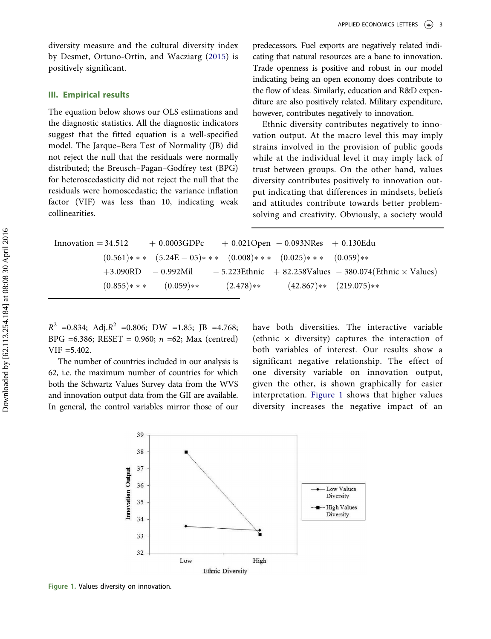diversity measure and the cultural diversity index by Desmet, Ortuno-Ortin, and Wacziarg ([2015](#page-4-3)) is positively significant.

### III. Empirical results

The equation below shows our OLS estimations and the diagnostic statistics. All the diagnostic indicators suggest that the fitted equation is a well-specified model. The Jarque–Bera Test of Normality (JB) did not reject the null that the residuals were normally distributed; the Breusch–Pagan–Godfrey test (BPG) for heteroscedasticity did not reject the null that the residuals were homoscedastic; the variance inflation factor (VIF) was less than 10, indicating weak collinearities.

predecessors. Fuel exports are negatively related indicating that natural resources are a bane to innovation. Trade openness is positive and robust in our model indicating being an open economy does contribute to the flow of ideas. Similarly, education and R&D expenditure are also positively related. Military expenditure, however, contributes negatively to innovation.

Ethnic diversity contributes negatively to innovation output. At the macro level this may imply strains involved in the provision of public goods while at the individual level it may imply lack of trust between groups. On the other hand, values diversity contributes positively to innovation output indicating that differences in mindsets, beliefs and attitudes contribute towards better problemsolving and creativity. Obviously, a society would

```
\text{Innovation} = 34.512 + 0.0003GDPc + 0.021Open - 0.093NRes + 0.130Edu(0.561)* * (5.24E - 05)* * (0.008)* * (0.025)* * (0.059)*
+3.090RD -0.992Mil -5.223Ethnic +82.258Values -380.074(Ethnic \times Values)(0.855)* * (0.059)* (2.478)* (42.867)* (219.075)*
```
 $R^2$  =0.834; Adj. $R^2$  =0.806; DW =1.85; JB =4.768; BPG =6.386; RESET = 0.960;  $n = 62$ ; Max (centred)  $VIF = 5.402.$ 

The number of countries included in our analysis is 62, i.e. the maximum number of countries for which both the Schwartz Values Survey data from the WVS and innovation output data from the GII are available. In general, the control variables mirror those of our have both diversities. The interactive variable (ethnic  $\times$  diversity) captures the interaction of both variables of interest. Our results show a significant negative relationship. The effect of one diversity variable on innovation output, given the other, is shown graphically for easier interpretation. [Figure 1](#page-3-0) shows that higher values diversity increases the negative impact of an



<span id="page-3-0"></span>Figure 1. Values diversity on innovation.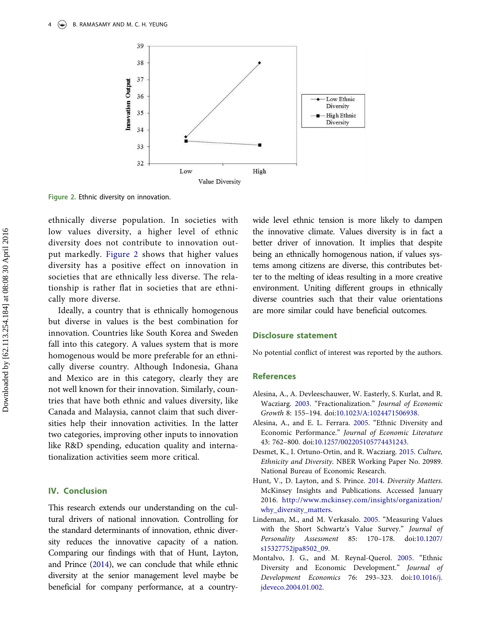

<span id="page-4-5"></span>Figure 2. Ethnic diversity on innovation.

ethnically diverse population. In societies with low values diversity, a higher level of ethnic diversity does not contribute to innovation output markedly. [Figure 2](#page-4-5) shows that higher values diversity has a positive effect on innovation in societies that are ethnically less diverse. The relationship is rather flat in societies that are ethnically more diverse.

Ideally, a country that is ethnically homogenous but diverse in values is the best combination for innovation. Countries like South Korea and Sweden fall into this category. A values system that is more homogenous would be more preferable for an ethnically diverse country. Although Indonesia, Ghana and Mexico are in this category, clearly they are not well known for their innovation. Similarly, countries that have both ethnic and values diversity, like Canada and Malaysia, cannot claim that such diversities help their innovation activities. In the latter two categories, improving other inputs to innovation like R&D spending, education quality and internationalization activities seem more critical.

#### IV. Conclusion

This research extends our understanding on the cultural drivers of national innovation. Controlling for the standard determinants of innovation, ethnic diversity reduces the innovative capacity of a nation. Comparing our findings with that of Hunt, Layton, and Prince [\(2014](#page-4-2)), we can conclude that while ethnic diversity at the senior management level maybe be beneficial for company performance, at a countrywide level ethnic tension is more likely to dampen the innovative climate. Values diversity is in fact a better driver of innovation. It implies that despite being an ethnically homogenous nation, if values systems among citizens are diverse, this contributes better to the melting of ideas resulting in a more creative environment. Uniting different groups in ethnically diverse countries such that their value orientations are more similar could have beneficial outcomes.

#### Disclosure statement

No potential conflict of interest was reported by the authors.

#### References

- Alesina, A., A. Devleeschauwer, W. Easterly, S. Kurlat, and R. Wacziarg. 2003. "Fractionalization." Journal of Economic Growth 8: 155–194. doi:[10.1023/A:1024471506938](http://dx.doi.org/10.1023/A:1024471506938).
- <span id="page-4-1"></span>Alesina, A., and E. L. Ferrara. [2005](#page-1-1). "Ethnic Diversity and Economic Performance." Journal of Economic Literature 43: 762–800. doi:[10.1257/002205105774431243](http://dx.doi.org/10.1257/002205105774431243).
- <span id="page-4-3"></span>Desmet, K., I. Ortuno-Ortin, and R. Wacziarg. [2015.](#page-1-2) Culture, Ethnicity and Diversity. NBER Working Paper No. 20989. National Bureau of Economic Research.
- <span id="page-4-2"></span>Hunt, V., D. Layton, and S. Prince. [2014](#page-1-3). Diversity Matters. McKinsey Insights and Publications. Accessed January 2016. [http://www.mckinsey.com/insights/organization/](http://www.mckinsey.com/insights/organization/why_diversity_matters) [why\\_diversity\\_matters.](http://www.mckinsey.com/insights/organization/why_diversity_matters)
- <span id="page-4-4"></span>Lindeman, M., and M. Verkasalo. [2005](#page-2-2). "Measuring Values with the Short Schwartz's Value Survey." Journal of Personality Assessment 85: 170–178. doi:[10.1207/](http://dx.doi.org/10.1207/s15327752jpa8502%5F09) [s15327752jpa8502\\_09](http://dx.doi.org/10.1207/s15327752jpa8502%5F09).
- <span id="page-4-0"></span>Montalvo, J. G., and M. Reynal-Querol. [2005.](#page-1-1) "Ethnic Diversity and Economic Development." Journal of Development Economics 76: 293–323. doi:[10.1016/j.](http://dx.doi.org/10.1016/j.jdeveco.2004.01.002) [jdeveco.2004.01.002](http://dx.doi.org/10.1016/j.jdeveco.2004.01.002).